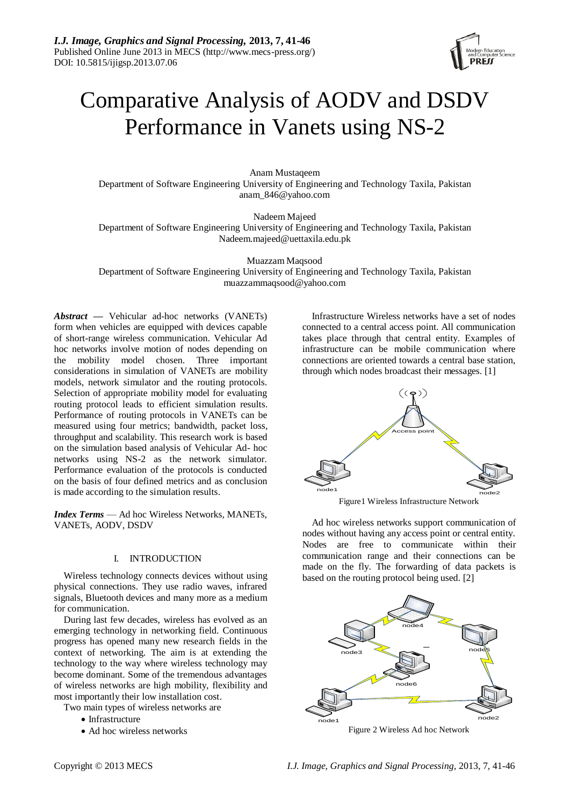

# Comparative Analysis of AODV and DSDV Performance in Vanets using NS-2

Anam Mustaqeem Department of Software Engineering University of Engineering and Technology Taxila, Pakistan anam\_846@yahoo.com

Nadeem Majeed Department of Software Engineering University of Engineering and Technology Taxila, Pakistan Nadeem.majeed@uettaxila.edu.pk

Muazzam Maqsood Department of Software Engineering University of Engineering and Technology Taxila, Pakistan muazzammaqsood@yahoo.com

*Abstract* **—** Vehicular ad-hoc networks (VANETs) form when vehicles are equipped with devices capable of short-range wireless communication. Vehicular Ad hoc networks involve motion of nodes depending on the mobility model chosen. Three important considerations in simulation of VANETs are mobility models, network simulator and the routing protocols. Selection of appropriate mobility model for evaluating routing protocol leads to efficient simulation results. Performance of routing protocols in VANETs can be measured using four metrics; bandwidth, packet loss, throughput and scalability. This research work is based on the simulation based analysis of Vehicular Ad- hoc networks using NS-2 as the network simulator. Performance evaluation of the protocols is conducted on the basis of four defined metrics and as conclusion is made according to the simulation results.

*Index Terms* — Ad hoc Wireless Networks, MANETs, VANETs, AODV, DSDV

#### I. INTRODUCTION

Wireless technology connects devices without using physical connections. They use radio waves, infrared signals, Bluetooth devices and many more as a medium for communication.

During last few decades, wireless has evolved as an emerging technology in networking field. Continuous progress has opened many new research fields in the context of networking. The aim is at extending the technology to the way where wireless technology may become dominant. Some of the tremendous advantages of wireless networks are high mobility, flexibility and most importantly their low installation cost.

Two main types of wireless networks are

- Infrastructure
- Ad hoc wireless networks

Infrastructure Wireless networks have a set of nodes connected to a central access point. All communication takes place through that central entity. Examples of infrastructure can be mobile communication where connections are oriented towards a central base station, through which nodes broadcast their messages. [1]



Ad hoc wireless networks support communication of nodes without having any access point or central entity. Nodes are free to communicate within their communication range and their connections can be made on the fly. The forwarding of data packets is based on the routing protocol being used. [2]



Figure 2 Wireless Ad hoc Network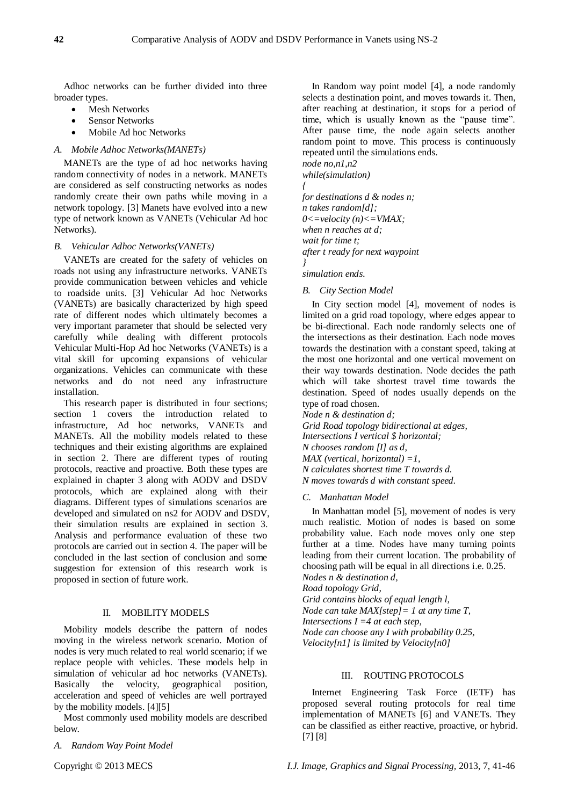Adhoc networks can be further divided into three broader types.

- Mesh Networks
- Sensor Networks
- Mobile Ad hoc Networks

# *A. Mobile Adhoc Networks(MANETs)*

MANETs are the type of ad hoc networks having random connectivity of nodes in a network. MANETs are considered as self constructing networks as nodes randomly create their own paths while moving in a network topology. [3] Manets have evolved into a new type of network known as VANETs (Vehicular Ad hoc Networks).

#### *B. Vehicular Adhoc Networks(VANETs)*

VANETs are created for the safety of vehicles on roads not using any infrastructure networks. VANETs provide communication between vehicles and vehicle to roadside units. [3] Vehicular Ad hoc Networks (VANETs) are basically characterized by high speed rate of different nodes which ultimately becomes a very important parameter that should be selected very carefully while dealing with different protocols Vehicular Multi-Hop Ad hoc Networks (VANETs) is a vital skill for upcoming expansions of vehicular organizations. Vehicles can communicate with these networks and do not need any infrastructure installation.

This research paper is distributed in four sections; section 1 covers the introduction related to infrastructure, Ad hoc networks, VANETs and MANETs. All the mobility models related to these techniques and their existing algorithms are explained in section 2. There are different types of routing protocols, reactive and proactive. Both these types are explained in chapter 3 along with AODV and DSDV protocols, which are explained along with their diagrams. Different types of simulations scenarios are developed and simulated on ns2 for AODV and DSDV, their simulation results are explained in section 3. Analysis and performance evaluation of these two protocols are carried out in section 4. The paper will be concluded in the last section of conclusion and some suggestion for extension of this research work is proposed in section of future work.

# II. MOBILITY MODELS

Mobility models describe the pattern of nodes moving in the wireless network scenario. Motion of nodes is very much related to real world scenario; if we replace people with vehicles. These models help in simulation of vehicular ad hoc networks (VANETs). Basically the velocity, geographical position, acceleration and speed of vehicles are well portrayed by the mobility models. [4][5]

Most commonly used mobility models are described below.

*A. Random Way Point Model*

In Random way point model [4], a node randomly selects a destination point, and moves towards it. Then, after reaching at destination, it stops for a period of time, which is usually known as the "pause time". After pause time, the node again selects another random point to move. This process is continuously repeated until the simulations ends.

*node no,n1,n2*

*while(simulation)*

*{ for destinations d & nodes n; n takes random[d]; 0<=velocity (n)<=VMAX; when n reaches at d; wait for time t; after t ready for next waypoint }*

*simulation ends.*

### *B. City Section Model*

In City section model [4], movement of nodes is limited on a grid road topology, where edges appear to be bi-directional. Each node randomly selects one of the intersections as their destination. Each node moves towards the destination with a constant speed, taking at the most one horizontal and one vertical movement on their way towards destination. Node decides the path which will take shortest travel time towards the destination. Speed of nodes usually depends on the type of road chosen.

*Node n & destination d; Grid Road topology bidirectional at edges, Intersections I vertical \$ horizontal; N chooses random [I] as d, MAX (vertical, horizontal) =1, N calculates shortest time T towards d. N moves towards d with constant speed.*

#### *C. Manhattan Model*

In Manhattan model [5], movement of nodes is very much realistic. Motion of nodes is based on some probability value. Each node moves only one step further at a time. Nodes have many turning points leading from their current location. The probability of choosing path will be equal in all directions i.e. 0.25.

*Nodes n & destination d, Road topology Grid,*

*Grid contains blocks of equal length l,*

*Node can take MAX[step]= 1 at any time T,*

*Intersections I =4 at each step,*

*Node can choose any I with probability 0.25, Velocity[n1] is limited by Velocity[n0]*

# III. ROUTING PROTOCOLS

Internet Engineering Task Force (IETF) has proposed several routing protocols for real time implementation of MANETs [6] and VANETs. They can be classified as either reactive, proactive, or hybrid. [7] [8]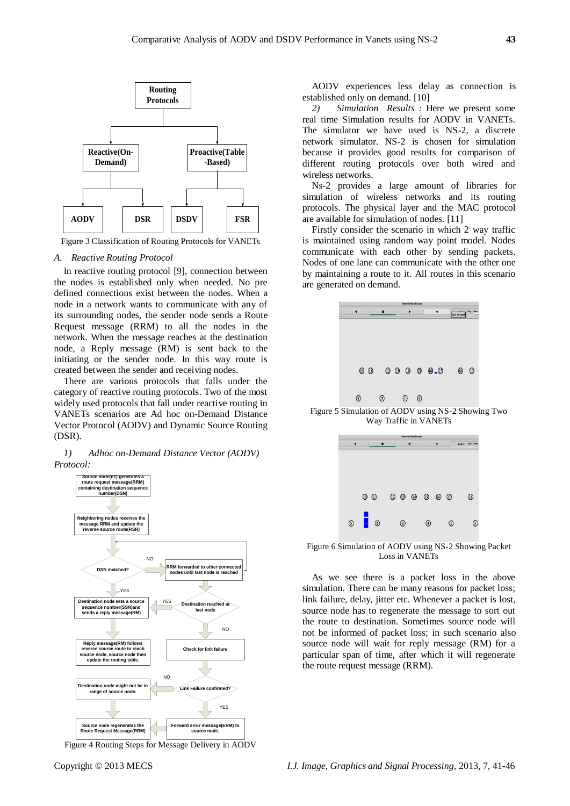

Figure 3 Classification of Routing Protocols for VANETs

#### *A. Reactive Routing Protocol*

In reactive routing protocol [9], connection between the nodes is established only when needed. No pre defined connections exist between the nodes. When a node in a network wants to communicate with any of its surrounding nodes, the sender node sends a Route Request message (RRM) to all the nodes in the network. When the message reaches at the destination node, a Reply message (RM) is sent back to the initiating or the sender node. In this way route is created between the sender and receiving nodes.

There are various protocols that falls under the category of reactive routing protocols. Two of the most widely used protocols that fall under reactive routing in VANETs scenarios are Ad hoc on-Demand Distance Vector Protocol (AODV) and Dynamic Source Routing (DSR).

#### *1) Adhoc on-Demand Distance Vector (AODV) Protocol:*



Figure 4 Routing Steps for Message Delivery in AODV

AODV experiences less delay as connection is established only on demand. [10]

*2) Simulation Results :* Here we present some real time Simulation results for AODV in VANETs. The simulator we have used is NS-2, a discrete network simulator. NS-2 is chosen for simulation because it provides good results for comparison of different routing protocols over both wired and wireless networks.

Ns-2 provides a large amount of libraries for simulation of wireless networks and its routing protocols. The physical layer and the MAC protocol are available for simulation of nodes. [11]

Firstly consider the scenario in which 2 way traffic is maintained using random way point model. Nodes communicate with each other by sending packets. Nodes of one lane can communicate with the other one by maintaining a route to it. All routes in this scenario are generated on demand.



Figure 5 Simulation of AODV using NS-2 Showing Two Way Traffic in VANETs

| <b>Anne Vel Smithy age</b> |                               |            |                    |   |                      |
|----------------------------|-------------------------------|------------|--------------------|---|----------------------|
|                            |                               |            |                    | n | 8.536193 Step: 3.9ma |
|                            | $\circledcirc$ $\circledcirc$ |            | $0\;0\;0\;0\;0\;0$ |   | ⊛                    |
|                            | $\circ$ .                     | $^{\circ}$ | $\Omega$           | ⊕ |                      |

Figure 6 Simulation of AODV using NS-2 Showing Packet Loss in VANETs

As we see there is a packet loss in the above simulation. There can be many reasons for packet loss; link failure, delay, jitter etc. Whenever a packet is lost, source node has to regenerate the message to sort out the route to destination. Sometimes source node will not be informed of packet loss; in such scenario also source node will wait for reply message (RM) for a particular span of time, after which it will regenerate the route request message (RRM).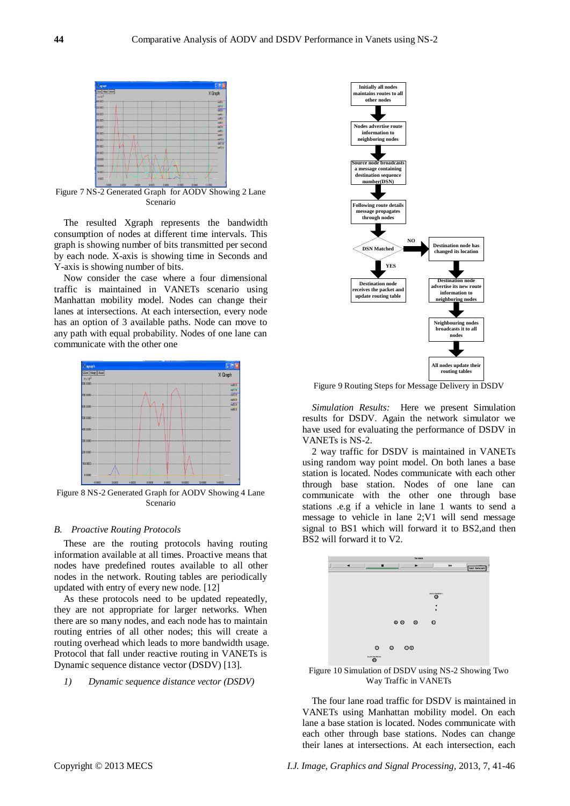

Figure 7 NS-2 Generated Graph for AODV Showing 2 Lane Scenario

The resulted Xgraph represents the bandwidth consumption of nodes at different time intervals. This graph is showing number of bits transmitted per second by each node. X-axis is showing time in Seconds and Y-axis is showing number of bits.

Now consider the case where a four dimensional traffic is maintained in VANETs scenario using Manhattan mobility model. Nodes can change their lanes at intersections. At each intersection, every node has an option of 3 available paths. Node can move to any path with equal probability. Nodes of one lane can communicate with the other one



Figure 8 NS-2 Generated Graph for AODV Showing 4 Lane Scenario

#### *B. Proactive Routing Protocols*

These are the routing protocols having routing information available at all times. Proactive means that nodes have predefined routes available to all other nodes in the network. Routing tables are periodically updated with entry of every new node. [12]

As these protocols need to be updated repeatedly, they are not appropriate for larger networks. When there are so many nodes, and each node has to maintain routing entries of all other nodes; this will create a routing overhead which leads to more bandwidth usage. Protocol that fall under reactive routing in VANETs is Dynamic sequence distance vector (DSDV) [13].

*1) Dynamic sequence distance vector (DSDV)*



Figure 9 Routing Steps for Message Delivery in DSDV

*Simulation Results:* Here we present Simulation results for DSDV. Again the network simulator we have used for evaluating the performance of DSDV in VANETs is NS-2.

2 way traffic for DSDV is maintained in VANETs using random way point model. On both lanes a base station is located. Nodes communicate with each other through base station. Nodes of one lane can communicate with the other one through base stations .e.g if a vehicle in lane 1 wants to send a message to vehicle in lane 2;V1 will send message signal to BS1 which will forward it to BS2,and then BS2 will forward it to V2.



Figure 10 Simulation of DSDV using NS-2 Showing Two Way Traffic in VANETs

The four lane road traffic for DSDV is maintained in VANETs using Manhattan mobility model. On each lane a base station is located. Nodes communicate with each other through base stations. Nodes can change their lanes at intersections. At each intersection, each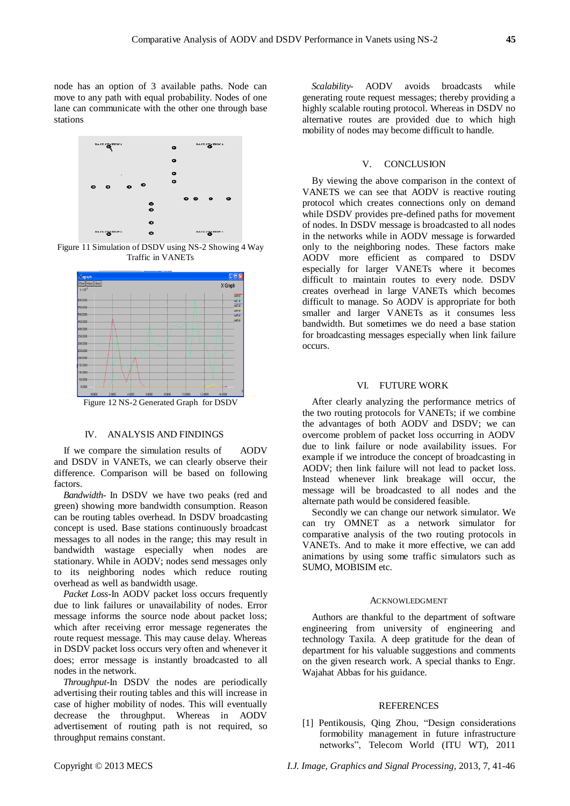node has an option of 3 available paths. Node can move to any path with equal probability. Nodes of one lane can communicate with the other one through base stations



Figure 11 Simulation of DSDV using NS-2 Showing 4 Way Traffic in VANETs



#### IV. ANALYSIS AND FINDINGS

If we compare the simulation results of AODV and DSDV in VANETs, we can clearly observe their difference. Comparison will be based on following factors.

*Bandwidth-* In DSDV we have two peaks (red and green) showing more bandwidth consumption. Reason can be routing tables overhead. In DSDV broadcasting concept is used. Base stations continuously broadcast messages to all nodes in the range; this may result in bandwidth wastage especially when nodes are stationary. While in AODV; nodes send messages only to its neighboring nodes which reduce routing overhead as well as bandwidth usage.

*Packet Loss-*In AODV packet loss occurs frequently due to link failures or unavailability of nodes. Error message informs the source node about packet loss; which after receiving error message regenerates the route request message. This may cause delay. Whereas in DSDV packet loss occurs very often and whenever it does; error message is instantly broadcasted to all nodes in the network.

*Throughput-*In DSDV the nodes are periodically advertising their routing tables and this will increase in case of higher mobility of nodes. This will eventually decrease the throughput. Whereas in AODV advertisement of routing path is not required, so throughput remains constant.

*Scalability-* AODV avoids broadcasts while generating route request messages; thereby providing a highly scalable routing protocol. Whereas in DSDV no alternative routes are provided due to which high mobility of nodes may become difficult to handle.

#### V. CONCLUSION

By viewing the above comparison in the context of VANETS we can see that AODV is reactive routing protocol which creates connections only on demand while DSDV provides pre-defined paths for movement of nodes. In DSDV message is broadcasted to all nodes in the networks while in AODV message is forwarded only to the neighboring nodes. These factors make AODV more efficient as compared to DSDV especially for larger VANETs where it becomes difficult to maintain routes to every node. DSDV creates overhead in large VANETs which becomes difficult to manage. So AODV is appropriate for both smaller and larger VANETs as it consumes less bandwidth. But sometimes we do need a base station for broadcasting messages especially when link failure occurs.

# VI. FUTURE WORK

After clearly analyzing the performance metrics of the two routing protocols for VANETs; if we combine the advantages of both AODV and DSDV; we can overcome problem of packet loss occurring in AODV due to link failure or node availability issues. For example if we introduce the concept of broadcasting in AODV; then link failure will not lead to packet loss. Instead whenever link breakage will occur, the message will be broadcasted to all nodes and the alternate path would be considered feasible.

Secondly we can change our network simulator. We can try OMNET as a network simulator for comparative analysis of the two routing protocols in VANETs. And to make it more effective, we can add animations by using some traffic simulators such as SUMO, MOBISIM etc.

#### ACKNOWLEDGMENT

Authors are thankful to the department of software engineering from university of engineering and technology Taxila. A deep gratitude for the dean of department for his valuable suggestions and comments on the given research work. A special thanks to Engr. Wajahat Abbas for his guidance.

#### REFERENCES

[1] Pentikousis, [Qing Zhou,](http://ieeexplore.ieee.org/search/searchresult.jsp?searchWithin=p_Authors:.QT.Qing%20Zhou.QT.&newsearch=partialPref) "Design considerations formobility management in future infrastructure networks‖, [Telecom World \(ITU WT\), 2011](http://ieeexplore.ieee.org/xpl/mostRecentIssue.jsp?punumber=6088021)